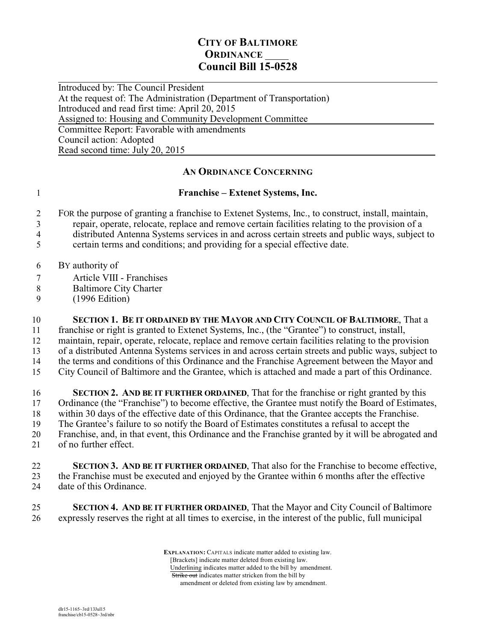# **CITY OF BALTIMORE ORDINANCE Council Bill 15-0528**

 $\overline{a}$ Introduced by: The Council President At the request of: The Administration (Department of Transportation) Introduced and read first time: April 20, 2015 Assigned to: Housing and Community Development Committee Committee Report: Favorable with amendments Council action: Adopted Read second time: July 20, 2015

# **AN ORDINANCE CONCERNING**

## 1 **Franchise – Extenet Systems, Inc.**

- 2 FOR the purpose of granting a franchise to Extenet Systems, Inc., to construct, install, maintain,
- 3 repair, operate, relocate, replace and remove certain facilities relating to the provision of a
- 4 distributed Antenna Systems services in and across certain streets and public ways, subject to
- 5 certain terms and conditions; and providing for a special effective date.
- 6 BY authority of
- 7 Article VIII Franchises
- 8 Baltimore City Charter<br>9 (1996 Edition)
- $(1996$  Edition)
- 10 **SECTION 1. BE IT ORDAINED BY THE MAYOR AND CITY COUNCIL OF BALTIMORE**, That a
- 11 franchise or right is granted to Extenet Systems, Inc., (the "Grantee") to construct, install,
- 12 maintain, repair, operate, relocate, replace and remove certain facilities relating to the provision
- 13 of a distributed Antenna Systems services in and across certain streets and public ways, subject to
- 14 the terms and conditions of this Ordinance and the Franchise Agreement between the Mayor and
- 15 City Council of Baltimore and the Grantee, which is attached and made a part of this Ordinance.
- 16 **SECTION 2. AND BE IT FURTHER ORDAINED**, That for the franchise or right granted by this 17 Ordinance (the "Franchise") to become effective, the Grantee must notify the Board of Estimates,<br>18 within 30 days of the effective date of this Ordinance, that the Grantee accepts the Franchise. within 30 days of the effective date of this Ordinance, that the Grantee accepts the Franchise. 19 The Grantee's failure to so notify the Board of Estimates constitutes a refusal to accept the 20 Franchise, and, in that event, this Ordinance and the Franchise granted by it will be abrogated and
- 21 of no further effect.
- 22 **SECTION 3. AND BE IT FURTHER ORDAINED**, That also for the Franchise to become effective, 23 the Franchise must be executed and enjoyed by the Grantee within 6 months after the effective 24 date of this Ordinance.
- 25 **SECTION 4. AND BE IT FURTHER ORDAINED**, That the Mayor and City Council of Baltimore 26 expressly reserves the right at all times to exercise, in the interest of the public, full municipal

 **EXPLANATION:** CAPITALS indicate matter added to existing law. [Brackets] indicate matter deleted from existing law. Underlining indicates matter added to the bill by amendment. Strike out indicates matter stricken from the bill by amendment or deleted from existing law by amendment.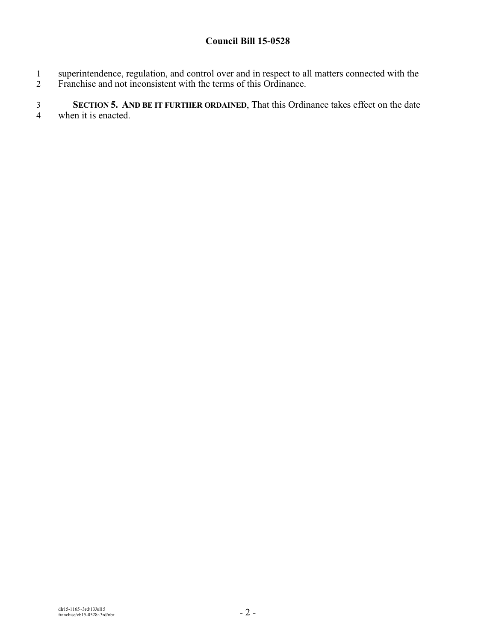1 superintendence, regulation, and control over and in respect to all matters connected with the 2 Franchise and not inconsistent with the terms of this Ordinance.

3 **SECTION 5. AND BE IT FURTHER ORDAINED**, That this Ordinance takes effect on the date when it is enacted.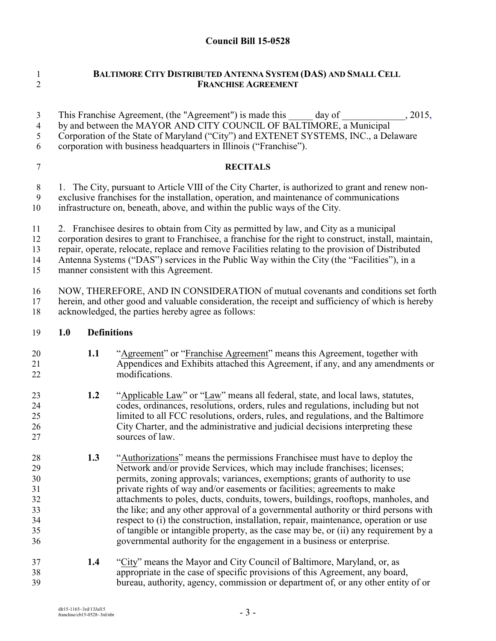#### **BALTIMORE CITY DISTRIBUTED ANTENNA SYSTEM (DAS) AND SMALL CELL FRANCHISE AGREEMENT**

3 This Franchise Agreement, (the "Agreement") is made this  $\frac{1}{2}$  day of  $\frac{1}{2}$ , 2015, by and between the MAYOR AND CITY COUNCIL OF BALTIMORE. a Municipal by and between the MAYOR AND CITY COUNCIL OF BALTIMORE, a Municipal

- Corporation of the State of Maryland ("City") and EXTENET SYSTEMS, INC., a Delaware
- corporation with business headquarters in Illinois ("Franchise").
- 

#### **RECITALS**

8 1. The City, pursuant to Article VIII of the City Charter, is authorized to grant and renew non-<br>exclusive franchises for the installation, operation, and maintenance of communications

exclusive franchises for the installation, operation, and maintenance of communications infrastructure on, beneath, above, and within the public ways of the City.

2. Franchisee desires to obtain from City as permitted by law, and City as a municipal

corporation desires to grant to Franchisee, a franchise for the right to construct, install, maintain,

repair, operate, relocate, replace and remove Facilities relating to the provision of Distributed

Antenna Systems ("DAS") services in the Public Way within the City (the "Facilities"), in a

manner consistent with this Agreement.

NOW, THEREFORE, AND IN CONSIDERATION of mutual covenants and conditions set forth

herein, and other good and valuable consideration, the receipt and sufficiency of which is hereby

- acknowledged, the parties hereby agree as follows:
- **1.0 Definitions**
- **1.1** "Agreement" or "Franchise Agreement" means this Agreement, together with Appendices and Exhibits attached this Agreement, if any, and any amendments or modifications.
- **1.2** "Applicable Law" or "Law" means all federal, state, and local laws, statutes, codes, ordinances, resolutions, orders, rules and regulations, including but not limited to all FCC resolutions, orders, rules, and regulations, and the Baltimore City Charter, and the administrative and judicial decisions interpreting these sources of law.
- **1.3** "Authorizations" means the permissions Franchisee must have to deploy the Network and/or provide Services, which may include franchises; licenses; permits, zoning approvals; variances, exemptions; grants of authority to use private rights of way and/or easements or facilities; agreements to make attachments to poles, ducts, conduits, towers, buildings, rooftops, manholes, and the like; and any other approval of a governmental authority or third persons with respect to (i) the construction, installation, repair, maintenance, operation or use of tangible or intangible property, as the case may be, or (ii) any requirement by a governmental authority for the engagement in a business or enterprise.
- **1.4** "City" means the Mayor and City Council of Baltimore, Maryland, or, as appropriate in the case of specific provisions of this Agreement, any board, bureau, authority, agency, commission or department of, or any other entity of or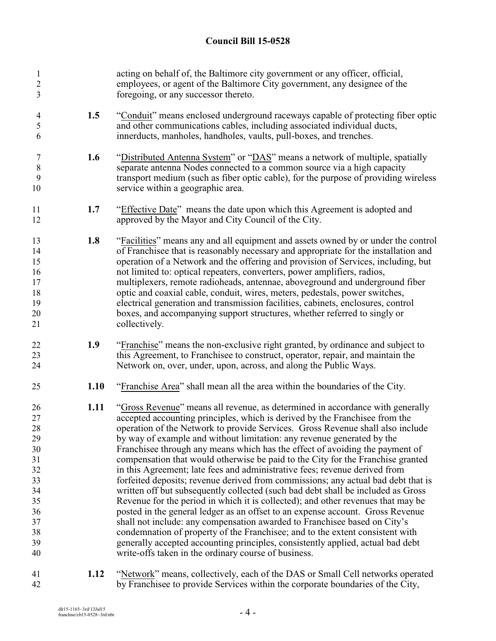- acting on behalf of, the Baltimore city government or any officer, official, employees, or agent of the Baltimore City government, any designee of the foregoing, or any successor thereto. 1.5 "Conduit" means enclosed underground raceways capable of protecting fiber optic<br>5 and other communications cables, including associated individual ducts. and other communications cables, including associated individual ducts, innerducts, manholes, handholes, vaults, pull-boxes, and trenches. **1.6** "Distributed Antenna System" or "DAS" means a network of multiple, spatially separate antenna Nodes connected to a common source via a high capacity transport medium (such as fiber optic cable), for the purpose of providing wireless service within a geographic area. **1.7** "Effective Date" means the date upon which this Agreement is adopted and approved by the Mayor and City Council of the City. **1.8** "Facilities" means any and all equipment and assets owned by or under the control of Franchisee that is reasonably necessary and appropriate for the installation and operation of a Network and the offering and provision of Services, including, but not limited to: optical repeaters, converters, power amplifiers, radios, multiplexers, remote radioheads, antennae, aboveground and underground fiber 18 optic and coaxial cable, conduit, wires, meters, pedestals, power switches,<br>19 electrical generation and transmission facilities, cabinets, enclosures, contr electrical generation and transmission facilities, cabinets, enclosures, control boxes, and accompanying support structures, whether referred to singly or 21 collectively. **1.9** "Franchise" means the non-exclusive right granted, by ordinance and subject to this Agreement, to Franchisee to construct, operator, repair, and maintain the Network on, over, under, upon, across, and along the Public Ways. **1.10** "Franchise Area" shall mean all the area within the boundaries of the City. **1.11** "Gross Revenue" means all revenue, as determined in accordance with generally accepted accounting principles, which is derived by the Franchisee from the operation of the Network to provide Services. Gross Revenue shall also include by way of example and without limitation: any revenue generated by the Franchisee through any means which has the effect of avoiding the payment of compensation that would otherwise be paid to the City for the Franchise granted in this Agreement; late fees and administrative fees; revenue derived from 33 forfeited deposits; revenue derived from commissions; any actual bad debt that is<br>34 written off but subsequently collected (such bad debt shall be included as Gross written off but subsequently collected (such bad debt shall be included as Gross Revenue for the period in which it is collected); and other revenues that may be posted in the general ledger as an offset to an expense account. Gross Revenue shall not include: any compensation awarded to Franchisee based on City's condemnation of property of the Franchisee; and to the extent consistent with generally accepted accounting principles, consistently applied, actual bad debt write-offs taken in the ordinary course of business. **1.12** "Network" means, collectively, each of the DAS or Small Cell networks operated
- by Franchisee to provide Services within the corporate boundaries of the City,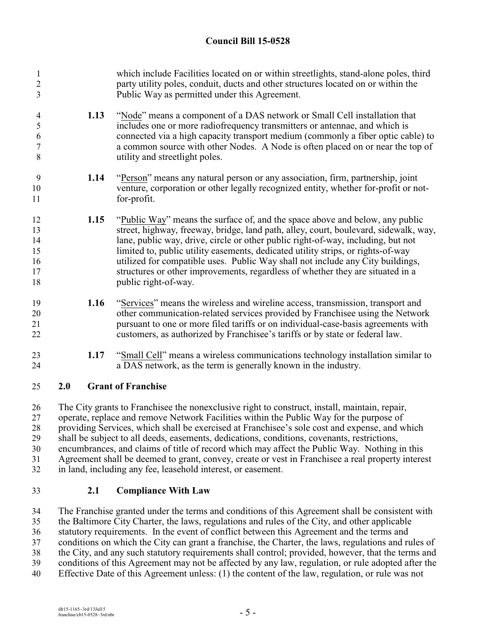| $\mathbf{1}$<br>$\overline{c}$<br>3                       | which include Facilities located on or within streetlights, stand-alone poles, third<br>party utility poles, conduit, ducts and other structures located on or within the<br>Public Way as permitted under this Agreement.                                                                                                                                                                                                                                                                                                               |
|-----------------------------------------------------------|------------------------------------------------------------------------------------------------------------------------------------------------------------------------------------------------------------------------------------------------------------------------------------------------------------------------------------------------------------------------------------------------------------------------------------------------------------------------------------------------------------------------------------------|
| 1.13<br>$\overline{4}$<br>5<br>6<br>$\boldsymbol{7}$<br>8 | "Node" means a component of a DAS network or Small Cell installation that<br>includes one or more radiofrequency transmitters or antennae, and which is<br>connected via a high capacity transport medium (commonly a fiber optic cable) to<br>a common source with other Nodes. A Node is often placed on or near the top of<br>utility and streetlight poles.                                                                                                                                                                          |
| 1.14<br>9<br>10<br>11                                     | "Person" means any natural person or any association, firm, partnership, joint<br>venture, corporation or other legally recognized entity, whether for-profit or not-<br>for-profit.                                                                                                                                                                                                                                                                                                                                                     |
| 1.15<br>12<br>13<br>14<br>15<br>16<br>17<br>18            | "Public Way" means the surface of, and the space above and below, any public<br>street, highway, freeway, bridge, land path, alley, court, boulevard, sidewalk, way,<br>lane, public way, drive, circle or other public right-of-way, including, but not<br>limited to, public utility easements, dedicated utility strips, or rights-of-way<br>utilized for compatible uses. Public Way shall not include any City buildings,<br>structures or other improvements, regardless of whether they are situated in a<br>public right-of-way. |
| 1.16<br>19<br>20<br>21<br>22                              | "Services" means the wireless and wireline access, transmission, transport and<br>other communication-related services provided by Franchisee using the Network<br>pursuant to one or more filed tariffs or on individual-case-basis agreements with<br>customers, as authorized by Franchisee's tariffs or by state or federal law.                                                                                                                                                                                                     |
| 23<br>1.17<br>24                                          | "Small Cell" means a wireless communications technology installation similar to<br>a DAS network, as the term is generally known in the industry.                                                                                                                                                                                                                                                                                                                                                                                        |

**2.0 Grant of Franchise**

 The City grants to Franchisee the nonexclusive right to construct, install, maintain, repair, operate, replace and remove Network Facilities within the Public Way for the purpose of providing Services, which shall be exercised at Franchisee's sole cost and expense, and which shall be subject to all deeds, easements, dedications, conditions, covenants, restrictions, encumbrances, and claims of title of record which may affect the Public Way. Nothing in this Agreement shall be deemed to grant, convey, create or vest in Franchisee a real property interest in land, including any fee, leasehold interest, or easement.

# **2.1 Compliance With Law**

 The Franchise granted under the terms and conditions of this Agreement shall be consistent with the Baltimore City Charter, the laws, regulations and rules of the City, and other applicable statutory requirements. In the event of conflict between this Agreement and the terms and conditions on which the City can grant a franchise, the Charter, the laws, regulations and rules of the City, and any such statutory requirements shall control; provided, however, that the terms and conditions of this Agreement may not be affected by any law, regulation, or rule adopted after the Effective Date of this Agreement unless: (1) the content of the law, regulation, or rule was not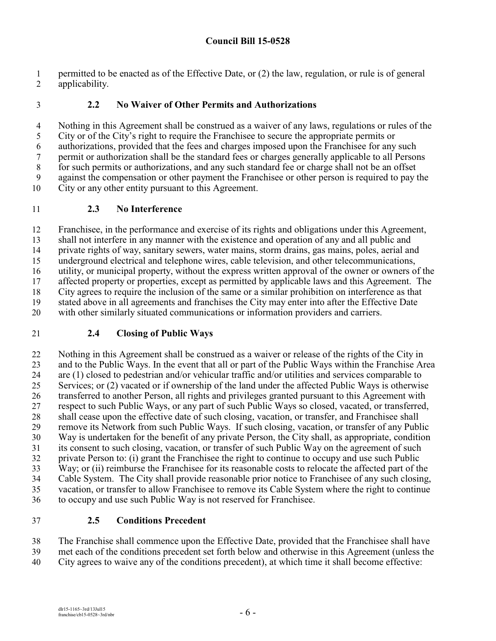permitted to be enacted as of the Effective Date, or (2) the law, regulation, or rule is of general applicability.

**2.2 No Waiver of Other Permits and Authorizations**

 Nothing in this Agreement shall be construed as a waiver of any laws, regulations or rules of the City or of the City's right to require the Franchisee to secure the appropriate permits or 6 authorizations, provided that the fees and charges imposed upon the Franchise for any such<br>
permit or authorization shall be the standard fees or charges generally applicable to all Person 7 permit or authorization shall be the standard fees or charges generally applicable to all Persons<br>8 for such permits or authorizations, and any such standard fee or charge shall not be an offset for such permits or authorizations, and any such standard fee or charge shall not be an offset against the compensation or other payment the Franchisee or other person is required to pay the City or any other entity pursuant to this Agreement.

**2.3 No Interference**

12 Franchisee, in the performance and exercise of its rights and obligations under this Agreement,<br>13 shall not interfere in any manner with the existence and operation of any and all public and 13 shall not interfere in any manner with the existence and operation of any and all public and<br>14 private rights of way, sanitary sewers, water mains, storm drains, gas mains, poles, aerial an private rights of way, sanitary sewers, water mains, storm drains, gas mains, poles, aerial and underground electrical and telephone wires, cable television, and other telecommunications, utility, or municipal property, without the express written approval of the owner or owners of the affected property or properties, except as permitted by applicable laws and this Agreement. The City agrees to require the inclusion of the same or a similar prohibition on interference as that stated above in all agreements and franchises the City may enter into after the Effective Date with other similarly situated communications or information providers and carriers.

**2.4 Closing of Public Ways**

 Nothing in this Agreement shall be construed as a waiver or release of the rights of the City in and to the Public Ways. In the event that all or part of the Public Ways within the Franchise Area are (1) closed to pedestrian and/or vehicular traffic and/or utilities and services comparable to Services; or (2) vacated or if ownership of the land under the affected Public Ways is otherwise transferred to another Person, all rights and privileges granted pursuant to this Agreement with respect to such Public Ways, or any part of such Public Ways so closed, vacated, or transferred, 28 shall cease upon the effective date of such closing, vacation, or transfer, and Franchisee shall<br>29 remove its Network from such Public Ways. If such closing, vacation, or transfer of any Public remove its Network from such Public Ways. If such closing, vacation, or transfer of any Public Way is undertaken for the benefit of any private Person, the City shall, as appropriate, condition its consent to such closing, vacation, or transfer of such Public Way on the agreement of such private Person to: (i) grant the Franchisee the right to continue to occupy and use such Public Way; or (ii) reimburse the Franchisee for its reasonable costs to relocate the affected part of the Cable System. The City shall provide reasonable prior notice to Franchisee of any such closing, vacation, or transfer to allow Franchisee to remove its Cable System where the right to continue to occupy and use such Public Way is not reserved for Franchisee.

#### **2.5 Conditions Precedent**

 The Franchise shall commence upon the Effective Date, provided that the Franchisee shall have met each of the conditions precedent set forth below and otherwise in this Agreement (unless the City agrees to waive any of the conditions precedent), at which time it shall become effective: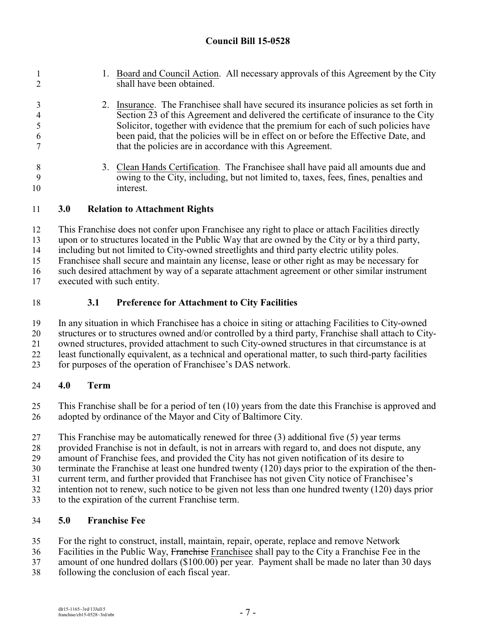|              | 1. Board and Council Action. All necessary approvals of this Agreement by the City<br>shall have been obtained.                                                                                                                                                                                                                                                                                                       |
|--------------|-----------------------------------------------------------------------------------------------------------------------------------------------------------------------------------------------------------------------------------------------------------------------------------------------------------------------------------------------------------------------------------------------------------------------|
| b            | 2. Insurance. The Franchisee shall have secured its insurance policies as set forth in<br>Section 23 of this Agreement and delivered the certificate of insurance to the City<br>Solicitor, together with evidence that the premium for each of such policies have<br>been paid, that the policies will be in effect on or before the Effective Date, and<br>that the policies are in accordance with this Agreement. |
| 8<br>9<br>10 | 3. Clean Hands Certification. The Franchisee shall have paid all amounts due and<br>owing to the City, including, but not limited to, taxes, fees, fines, penalties and<br>interest.                                                                                                                                                                                                                                  |

**3.0 Relation to Attachment Rights**

12 This Franchise does not confer upon Franchisee any right to place or attach Facilities directly<br>13 upon or to structures located in the Public Way that are owned by the City or by a third party. upon or to structures located in the Public Way that are owned by the City or by a third party, including but not limited to City-owned streetlights and third party electric utility poles. Franchisee shall secure and maintain any license, lease or other right as may be necessary for

such desired attachment by way of a separate attachment agreement or other similar instrument

executed with such entity.

## **3.1 Preference for Attachment to City Facilities**

In any situation in which Franchisee has a choice in siting or attaching Facilities to City-owned

structures or to structures owned and/or controlled by a third party, Franchise shall attach to City-

 owned structures, provided attachment to such City-owned structures in that circumstance is at least functionally equivalent, as a technical and operational matter, to such third-party facilities

for purposes of the operation of Franchisee's DAS network.

# **4.0 Term**

This Franchise shall be for a period of ten (10) years from the date this Franchise is approved and

adopted by ordinance of the Mayor and City of Baltimore City.

This Franchise may be automatically renewed for three (3) additional five (5) year terms

provided Franchise is not in default, is not in arrears with regard to, and does not dispute, any

amount of Franchise fees, and provided the City has not given notification of its desire to

terminate the Franchise at least one hundred twenty (120) days prior to the expiration of the then-

current term, and further provided that Franchisee has not given City notice of Franchisee's

32 intention not to renew, such notice to be given not less than one hundred twenty (120) days prior<br>33 to the expiration of the current Franchise term.

to the expiration of the current Franchise term.

## **5.0 Franchise Fee**

For the right to construct, install, maintain, repair, operate, replace and remove Network

36 Facilities in the Public Way, Franchise Franchisee shall pay to the City a Franchise Fee in the

37 amount of one hundred dollars (\$100.00) per year. Payment shall be made no later than 30 days

following the conclusion of each fiscal year.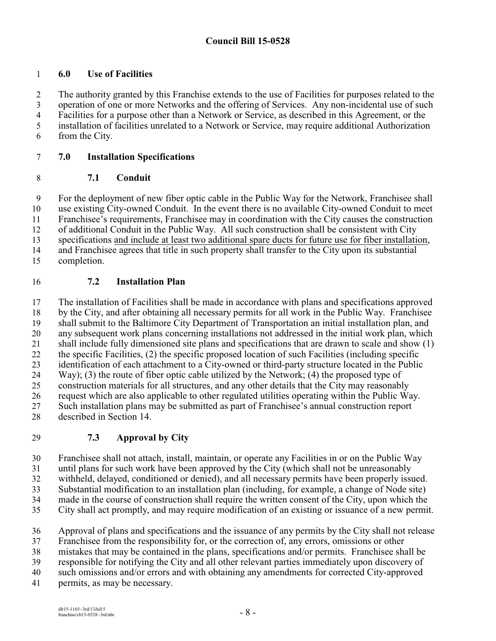## **6.0 Use of Facilities**

 The authority granted by this Franchise extends to the use of Facilities for purposes related to the operation of one or more Networks and the offering of Services. Any non-incidental use of such 4 Facilities for a purpose other than a Network or Service, as described in this Agreement, or the<br>5 installation of facilities unrelated to a Network or Service, may require additional Authorization installation of facilities unrelated to a Network or Service, may require additional Authorization from the City.

### **7.0 Installation Specifications**

#### **7.1 Conduit**

 For the deployment of new fiber optic cable in the Public Way for the Network, Franchisee shall use existing City-owned Conduit. In the event there is no available City-owned Conduit to meet Franchisee's requirements, Franchisee may in coordination with the City causes the construction 12 of additional Conduit in the Public Way. All such construction shall be consistent with City<br>13 specifications and include at least two additional spare ducts for future use for fiber installation 13 specifications <u>and include at least two additional spare ducts for future use for fiber installation</u>,<br>14 and Franchisee agrees that title in such property shall transfer to the City upon its substantial and Franchisee agrees that title in such property shall transfer to the City upon its substantial completion.

**7.2 Installation Plan**

 The installation of Facilities shall be made in accordance with plans and specifications approved by the City, and after obtaining all necessary permits for all work in the Public Way. Franchisee 19 shall submit to the Baltimore City Department of Transportation an initial installation plan, and<br>20 any subsequent work plans concerning installations not addressed in the initial work plan, which any subsequent work plans concerning installations not addressed in the initial work plan, which shall include fully dimensioned site plans and specifications that are drawn to scale and show (1) the specific Facilities, (2) the specific proposed location of such Facilities (including specific identification of each attachment to a City-owned or third-party structure located in the Public Way); (3) the route of fiber optic cable utilized by the Network; (4) the proposed type of construction materials for all structures, and any other details that the City may reasonably request which are also applicable to other regulated utilities operating within the Public Way. Such installation plans may be submitted as part of Franchisee's annual construction report described in Section 14.

## **7.3 Approval by City**

 Franchisee shall not attach, install, maintain, or operate any Facilities in or on the Public Way until plans for such work have been approved by the City (which shall not be unreasonably withheld, delayed, conditioned or denied), and all necessary permits have been properly issued. Substantial modification to an installation plan (including, for example, a change of Node site) 34 made in the course of construction shall require the written consent of the City, upon which the<br>35 City shall act promptly, and may require modification of an existing or issuance of a new permit City shall act promptly, and may require modification of an existing or issuance of a new permit.

 Approval of plans and specifications and the issuance of any permits by the City shall not release Franchisee from the responsibility for, or the correction of, any errors, omissions or other mistakes that may be contained in the plans, specifications and/or permits. Franchisee shall be responsible for notifying the City and all other relevant parties immediately upon discovery of such omissions and/or errors and with obtaining any amendments for corrected City-approved permits, as may be necessary.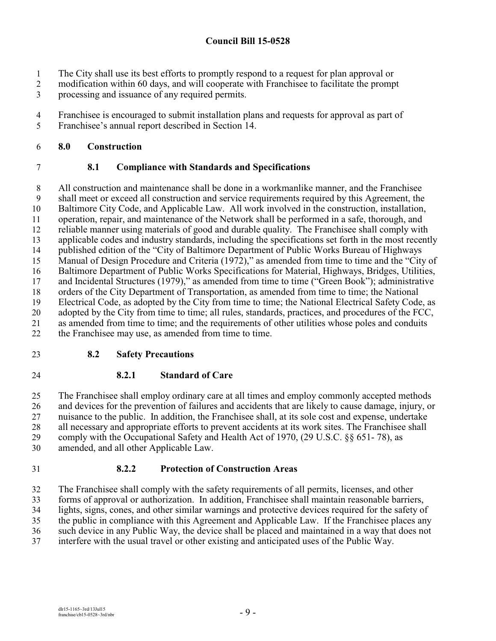- The City shall use its best efforts to promptly respond to a request for plan approval or
- modification within 60 days, and will cooperate with Franchisee to facilitate the prompt
- processing and issuance of any required permits.
- 4 Franchisee is encouraged to submit installation plans and requests for approval as part of<br>5 Franchisee's annual report described in Section 14.
- Franchisee's annual report described in Section 14.

## **8.0 Construction**

# **8.1 Compliance with Standards and Specifications**

 All construction and maintenance shall be done in a workmanlike manner, and the Franchisee shall meet or exceed all construction and service requirements required by this Agreement, the Baltimore City Code, and Applicable Law. All work involved in the construction, installation, operation, repair, and maintenance of the Network shall be performed in a safe, thorough, and 12 reliable manner using materials of good and durable quality. The Franchisee shall comply with<br>13 applicable codes and industry standards, including the specifications set forth in the most recent 13 applicable codes and industry standards, including the specifications set forth in the most recently<br>14 published edition of the "City of Baltimore Department of Public Works Bureau of Highways published edition of the "City of Baltimore Department of Public Works Bureau of Highways Manual of Design Procedure and Criteria (1972)," as amended from time to time and the "City of Baltimore Department of Public Works Specifications for Material, Highways, Bridges, Utilities, and Incidental Structures (1979)," as amended from time to time ("Green Book"); administrative orders of the City Department of Transportation, as amended from time to time; the National Electrical Code, as adopted by the City from time to time; the National Electrical Safety Code, as adopted by the City from time to time; all rules, standards, practices, and procedures of the FCC, 21 as amended from time to time; and the requirements of other utilities whose poles and conduits<br>22 the Franchise may use, as amended from time to time. the Franchisee may use, as amended from time to time.

- **8.2 Safety Precautions**
- **8.2.1 Standard of Care**

 The Franchisee shall employ ordinary care at all times and employ commonly accepted methods and devices for the prevention of failures and accidents that are likely to cause damage, injury, or 27 nuisance to the public. In addition, the Franchisee shall, at its sole cost and expense, undertake all necessary and appropriate efforts to prevent accidents at its work sites. The Franchisee shall all necessary and appropriate efforts to prevent accidents at its work sites. The Franchisee shall comply with the Occupational Safety and Health Act of 1970, (29 U.S.C. §§ 651- 78), as amended, and all other Applicable Law.

**8.2.2 Protection of Construction Areas**

 The Franchisee shall comply with the safety requirements of all permits, licenses, and other forms of approval or authorization. In addition, Franchisee shall maintain reasonable barriers, lights, signs, cones, and other similar warnings and protective devices required for the safety of the public in compliance with this Agreement and Applicable Law. If the Franchisee places any such device in any Public Way, the device shall be placed and maintained in a way that does not interfere with the usual travel or other existing and anticipated uses of the Public Way.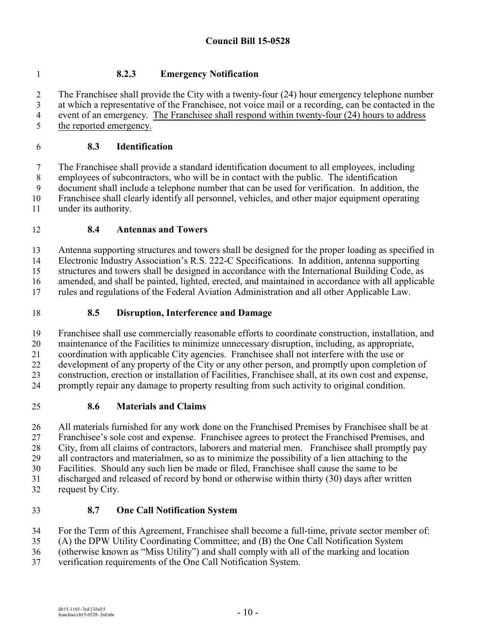## **8.2.3 Emergency Notification**

 The Franchisee shall provide the City with a twenty-four (24) hour emergency telephone number at which a representative of the Franchisee, not voice mail or a recording, can be contacted in the 4 event of an emergency. The Franchisee shall respond within twenty-four (24) hours to address the reported emergency.

the reported emergency.

### **8.3 Identification**

 The Franchisee shall provide a standard identification document to all employees, including employees of subcontractors, who will be in contact with the public. The identification document shall include a telephone number that can be used for verification. In addition, the Franchisee shall clearly identify all personnel, vehicles, and other major equipment operating under its authority.

#### **8.4 Antennas and Towers**

Antenna supporting structures and towers shall be designed for the proper loading as specified in

Electronic Industry Association's R.S. 222-C Specifications. In addition, antenna supporting

structures and towers shall be designed in accordance with the International Building Code, as

 amended, and shall be painted, lighted, erected, and maintained in accordance with all applicable rules and regulations of the Federal Aviation Administration and all other Applicable Law.

## **8.5 Disruption, Interference and Damage**

Franchisee shall use commercially reasonable efforts to coordinate construction, installation, and

maintenance of the Facilities to minimize unnecessary disruption, including, as appropriate,

coordination with applicable City agencies. Franchisee shall not interfere with the use or

development of any property of the City or any other person, and promptly upon completion of

construction, erection or installation of Facilities, Franchisee shall, at its own cost and expense,

promptly repair any damage to property resulting from such activity to original condition.

## **8.6 Materials and Claims**

 All materials furnished for any work done on the Franchised Premises by Franchisee shall be at Franchisee's sole cost and expense. Franchisee agrees to protect the Franchised Premises, and City, from all claims of contractors, laborers and material men. Franchisee shall promptly pay all contractors and materialmen, so as to minimize the possibility of a lien attaching to the Facilities. Should any such lien be made or filed, Franchisee shall cause the same to be discharged and released of record by bond or otherwise within thirty (30) days after written

request by City.

# **8.7 One Call Notification System**

For the Term of this Agreement, Franchisee shall become a full-time, private sector member of:

(A) the DPW Utility Coordinating Committee; and (B) the One Call Notification System

(otherwise known as "Miss Utility") and shall comply with all of the marking and location

verification requirements of the One Call Notification System.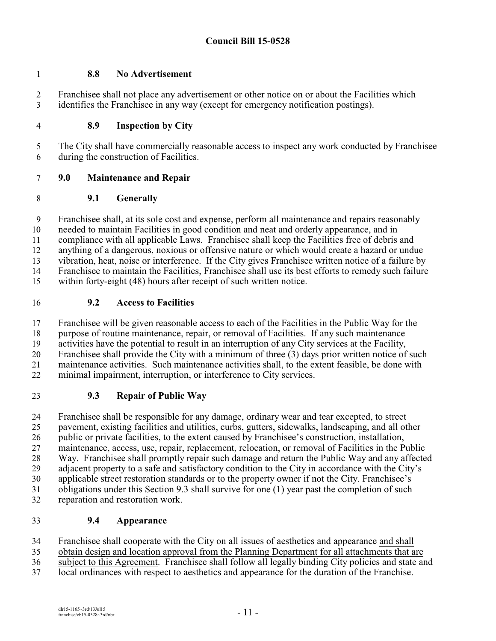## **8.8 No Advertisement**

 Franchisee shall not place any advertisement or other notice on or about the Facilities which identifies the Franchisee in any way (except for emergency notification postings).

### **8.9 Inspection by City**

 The City shall have commercially reasonable access to inspect any work conducted by Franchisee during the construction of Facilities.

#### **9.0 Maintenance and Repair**

#### **9.1 Generally**

 Franchisee shall, at its sole cost and expense, perform all maintenance and repairs reasonably needed to maintain Facilities in good condition and neat and orderly appearance, and in compliance with all applicable Laws. Franchisee shall keep the Facilities free of debris and anything of a dangerous, noxious or offensive nature or which would create a hazard or undue vibration, heat, noise or interference. If the City gives Franchisee written notice of a failure by Franchisee to maintain the Facilities, Franchisee shall use its best efforts to remedy such failure within forty-eight (48) hours after receipt of such written notice.

#### **9.2 Access to Facilities**

17 Franchisee will be given reasonable access to each of the Facilities in the Public Way for the nuroose of routine maintenance, repair, or removal of Facilities. If any such maintenance purpose of routine maintenance, repair, or removal of Facilities. If any such maintenance activities have the potential to result in an interruption of any City services at the Facility, Franchisee shall provide the City with a minimum of three (3) days prior written notice of such maintenance activities. Such maintenance activities shall, to the extent feasible, be done with minimal impairment, interruption, or interference to City services.

## **9.3 Repair of Public Way**

24 Franchisee shall be responsible for any damage, ordinary wear and tear excepted, to street<br>25 payement, existing facilities and utilities, curbs, gutters, sidewalks, landscaping, and all other pavement, existing facilities and utilities, curbs, gutters, sidewalks, landscaping, and all other public or private facilities, to the extent caused by Franchisee's construction, installation, maintenance, access, use, repair, replacement, relocation, or removal of Facilities in the Public Way. Franchisee shall promptly repair such damage and return the Public Way and any affected adjacent property to a safe and satisfactory condition to the City in accordance with the City's applicable street restoration standards or to the property owner if not the City. Franchisee's 31 obligations under this Section 9.3 shall survive for one (1) year past the completion of such reparation and restoration work. reparation and restoration work.

### **9.4 Appearance**

 Franchisee shall cooperate with the City on all issues of aesthetics and appearance and shall obtain design and location approval from the Planning Department for all attachments that are subject to this Agreement. Franchisee shall follow all legally binding City policies and state and local ordinances with respect to aesthetics and appearance for the duration of the Franchise.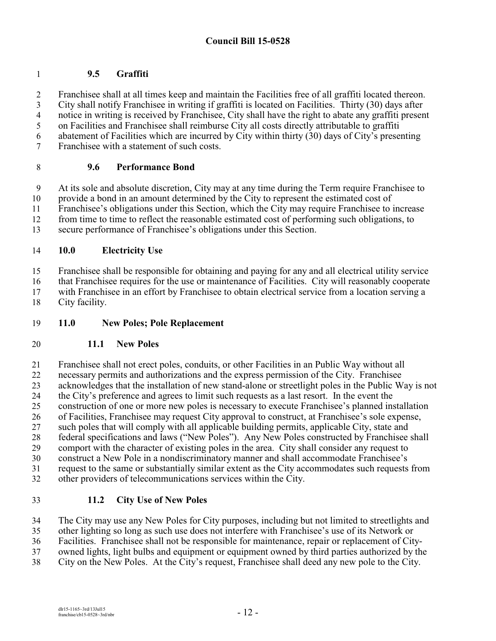## **9.5 Graffiti**

 Franchisee shall at all times keep and maintain the Facilities free of all graffiti located thereon. City shall notify Franchisee in writing if graffiti is located on Facilities. Thirty (30) days after 4 notice in writing is received by Franchisee, City shall have the right to abate any graffiti present<br>5 on Facilities and Franchisee shall reimburse City all costs directly attributable to graffiti on Facilities and Franchisee shall reimburse City all costs directly attributable to graffiti abatement of Facilities which are incurred by City within thirty (30) days of City's presenting Franchisee with a statement of such costs.

## **9.6 Performance Bond**

 At its sole and absolute discretion, City may at any time during the Term require Franchisee to provide a bond in an amount determined by the City to represent the estimated cost of Franchisee's obligations under this Section, which the City may require Franchisee to increase from time to time to reflect the reasonable estimated cost of performing such obligations, to secure performance of Franchisee's obligations under this Section.

#### **10.0 Electricity Use**

Franchisee shall be responsible for obtaining and paying for any and all electrical utility service

that Franchisee requires for the use or maintenance of Facilities. City will reasonably cooperate

with Franchisee in an effort by Franchisee to obtain electrical service from a location serving a

City facility.

## **11.0 New Poles; Pole Replacement**

## **11.1 New Poles**

Franchisee shall not erect poles, conduits, or other Facilities in an Public Way without all

necessary permits and authorizations and the express permission of the City. Franchisee

acknowledges that the installation of new stand-alone or streetlight poles in the Public Way is not

- the City's preference and agrees to limit such requests as a last resort. In the event the
- construction of one or more new poles is necessary to execute Franchisee's planned installation
- 26 of Facilities, Franchisee may request City approval to construct, at Franchisee's sole expense,<br>27 such poles that will comply with all applicable building permits, applicable City, state and such poles that will comply with all applicable building permits, applicable City, state and
- federal specifications and laws ("New Poles"). Any New Poles constructed by Franchisee shall
- comport with the character of existing poles in the area. City shall consider any request to
- construct a New Pole in a nondiscriminatory manner and shall accommodate Franchisee's
- request to the same or substantially similar extent as the City accommodates such requests from
- other providers of telecommunications services within the City.

# **11.2 City Use of New Poles**

The City may use any New Poles for City purposes, including but not limited to streetlights and

other lighting so long as such use does not interfere with Franchisee's use of its Network or

Facilities. Franchisee shall not be responsible for maintenance, repair or replacement of City-

- owned lights, light bulbs and equipment or equipment owned by third parties authorized by the
- City on the New Poles. At the City's request, Franchisee shall deed any new pole to the City.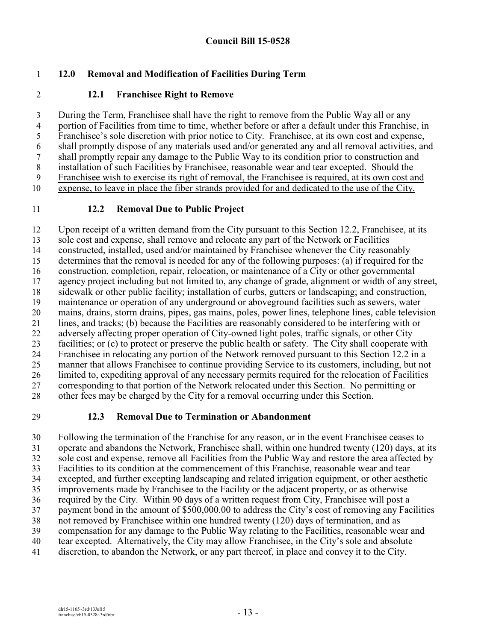## **12.0 Removal and Modification of Facilities During Term**

#### **12.1 Franchisee Right to Remove**

 During the Term, Franchisee shall have the right to remove from the Public Way all or any portion of Facilities from time to time, whether before or after a default under this Franchise, in Franchisee's sole discretion with prior notice to City. Franchisee, at its own cost and expense, 6 shall promptly dispose of any materials used and/or generated any and all removal activities, and<br>
<sup>7</sup> shall promptly repair any damage to the Public Way to its condition prior to construction and <sup>7</sup> shall promptly repair any damage to the Public Way to its condition prior to construction and<br><sup>8</sup> installation of such Facilities by Franchisee, reasonable wear and tear excepted. Should the installation of such Facilities by Franchisee, reasonable wear and tear excepted. Should the Franchisee wish to exercise its right of removal, the Franchisee is required, at its own cost and expense, to leave in place the fiber strands provided for and dedicated to the use of the City.

**12.2 Removal Due to Public Project**

12 Upon receipt of a written demand from the City pursuant to this Section 12.2, Franchisee, at its<br>13 sole cost and expense, shall remove and relocate any part of the Network or Facilities 13 sole cost and expense, shall remove and relocate any part of the Network or Facilities<br>14 constructed, installed, used and/or maintained by Franchisee whenever the City reason constructed, installed, used and/or maintained by Franchisee whenever the City reasonably determines that the removal is needed for any of the following purposes: (a) if required for the construction, completion, repair, relocation, or maintenance of a City or other governmental agency project including but not limited to, any change of grade, alignment or width of any street, sidewalk or other public facility; installation of curbs, gutters or landscaping; and construction, maintenance or operation of any underground or aboveground facilities such as sewers, water mains, drains, storm drains, pipes, gas mains, poles, power lines, telephone lines, cable television 21 lines, and tracks; (b) because the Facilities are reasonably considered to be interfering with or adversely affecting proper operation of City-owned light poles, traffic signals, or other City adversely affecting proper operation of City-owned light poles, traffic signals, or other City facilities; or (c) to protect or preserve the public health or safety. The City shall cooperate with Franchisee in relocating any portion of the Network removed pursuant to this Section 12.2 in a manner that allows Franchisee to continue providing Service to its customers, including, but not limited to, expediting approval of any necessary permits required for the relocation of Facilities corresponding to that portion of the Network relocated under this Section. No permitting or other fees may be charged by the City for a removal occurring under this Section.

## **12.3 Removal Due to Termination or Abandonment**

 Following the termination of the Franchise for any reason, or in the event Franchisee ceases to operate and abandons the Network, Franchisee shall, within one hundred twenty (120) days, at its sole cost and expense, remove all Facilities from the Public Way and restore the area affected by Facilities to its condition at the commencement of this Franchise, reasonable wear and tear excepted, and further excepting landscaping and related irrigation equipment, or other aesthetic improvements made by Franchisee to the Facility or the adjacent property, or as otherwise required by the City. Within 90 days of a written request from City, Franchisee will post a payment bond in the amount of \$500,000.00 to address the City's cost of removing any Facilities not removed by Franchisee within one hundred twenty (120) days of termination, and as compensation for any damage to the Public Way relating to the Facilities, reasonable wear and tear excepted. Alternatively, the City may allow Franchisee, in the City's sole and absolute discretion, to abandon the Network, or any part thereof, in place and convey it to the City.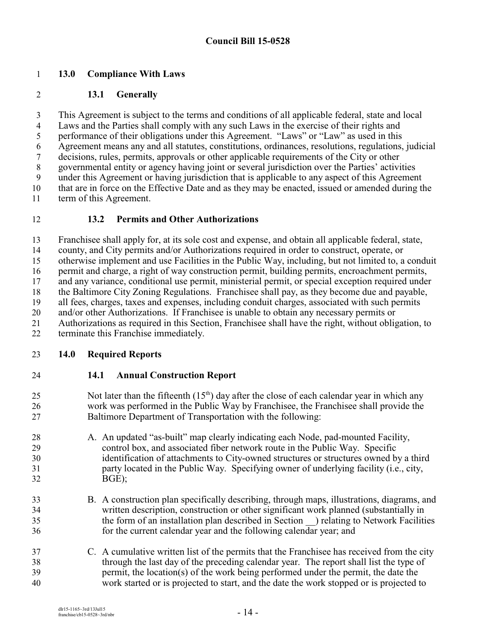## **13.0 Compliance With Laws**

#### **13.1 Generally**

 This Agreement is subject to the terms and conditions of all applicable federal, state and local Laws and the Parties shall comply with any such Laws in the exercise of their rights and performance of their obligations under this Agreement. "Laws" or "Law" as used in this 6 Agreement means any and all statutes, constitutions, ordinances, resolutions, regulations, judicial<br>decisions, rules, permits, approvals or other applicable requirements of the City or other 7 decisions, rules, permits, approvals or other applicable requirements of the City or other<br>8 governmental entity or agency having joint or several jurisdiction over the Parties' activi governmental entity or agency having joint or several jurisdiction over the Parties' activities under this Agreement or having jurisdiction that is applicable to any aspect of this Agreement that are in force on the Effective Date and as they may be enacted, issued or amended during the term of this Agreement.

#### **13.2 Permits and Other Authorizations**

13 Franchisee shall apply for, at its sole cost and expense, and obtain all applicable federal, state, county, and City permits and/or Authorizations required in order to construct, operate, or county, and City permits and/or Authorizations required in order to construct, operate, or otherwise implement and use Facilities in the Public Way, including, but not limited to, a conduit permit and charge, a right of way construction permit, building permits, encroachment permits, and any variance, conditional use permit, ministerial permit, or special exception required under the Baltimore City Zoning Regulations. Franchisee shall pay, as they become due and payable, all fees, charges, taxes and expenses, including conduit charges, associated with such permits and/or other Authorizations. If Franchisee is unable to obtain any necessary permits or 21 Authorizations as required in this Section, Franchisee shall have the right, without obligation, to terminate this Franchise immediately. terminate this Franchise immediately.

#### **14.0 Required Reports**

**14.1 Annual Construction Report**

25 Not later than the fifteenth  $(15<sup>th</sup>)$  day after the close of each calendar year in which any work was performed in the Public Way by Franchisee, the Franchisee shall provide the Baltimore Department of Transportation with the following:

- 28 A. An updated "as-built" map clearly indicating each Node, pad-mounted Facility, control box, and associated fiber network route in the Public Way. Specific identification of attachments to City-owned structures or structures owned by a third party located in the Public Way. Specifying owner of underlying facility (i.e., city, BGE);
- B. A construction plan specifically describing, through maps, illustrations, diagrams, and written description, construction or other significant work planned (substantially in 35 the form of an installation plan described in Section ) relating to Network Facilities for the current calendar year and the following calendar year; and
- C. A cumulative written list of the permits that the Franchisee has received from the city through the last day of the preceding calendar year. The report shall list the type of permit, the location(s) of the work being performed under the permit, the date the work started or is projected to start, and the date the work stopped or is projected to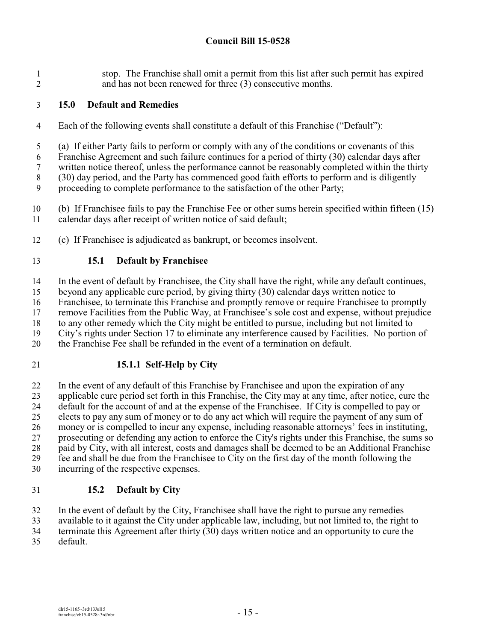stop. The Franchise shall omit a permit from this list after such permit has expired and has not been renewed for three (3) consecutive months.

### **15.0 Default and Remedies**

Each of the following events shall constitute a default of this Franchise ("Default"):

(a) If either Party fails to perform or comply with any of the conditions or covenants of this

Franchise Agreement and such failure continues for a period of thirty (30) calendar days after

written notice thereof, unless the performance cannot be reasonably completed within the thirty

(30) day period, and the Party has commenced good faith efforts to perform and is diligently

- proceeding to complete performance to the satisfaction of the other Party;
- (b) If Franchisee fails to pay the Franchise Fee or other sums herein specified within fifteen (15) calendar days after receipt of written notice of said default;
- (c) If Franchisee is adjudicated as bankrupt, or becomes insolvent.

## **15.1 Default by Franchisee**

In the event of default by Franchisee, the City shall have the right, while any default continues,

beyond any applicable cure period, by giving thirty (30) calendar days written notice to

Franchisee, to terminate this Franchise and promptly remove or require Franchisee to promptly

remove Facilities from the Public Way, at Franchisee's sole cost and expense, without prejudice

18 to any other remedy which the City might be entitled to pursue, including but not limited to<br>19 City's rights under Section 17 to eliminate any interference caused by Facilities. No portion

City's rights under Section 17 to eliminate any interference caused by Facilities. No portion of

the Franchise Fee shall be refunded in the event of a termination on default.

**15.1.1 Self-Help by City**

 In the event of any default of this Franchise by Franchisee and upon the expiration of any applicable cure period set forth in this Franchise, the City may at any time, after notice, cure the default for the account of and at the expense of the Franchisee. If City is compelled to pay or elects to pay any sum of money or to do any act which will require the payment of any sum of money or is compelled to incur any expense, including reasonable attorneys' fees in instituting, prosecuting or defending any action to enforce the City's rights under this Franchise, the sums so paid by City, with all interest, costs and damages shall be deemed to be an Additional Franchise fee and shall be due from the Franchisee to City on the first day of the month following the incurring of the respective expenses.

# **15.2 Default by City**

 In the event of default by the City, Franchisee shall have the right to pursue any remedies available to it against the City under applicable law, including, but not limited to, the right to terminate this Agreement after thirty (30) days written notice and an opportunity to cure the

default.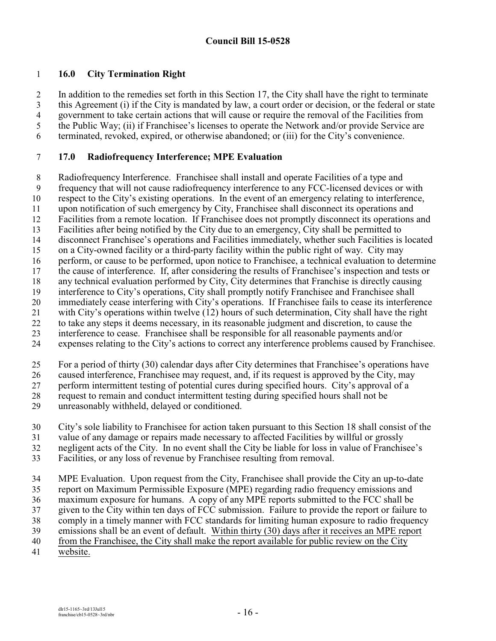### **16.0 City Termination Right**

 In addition to the remedies set forth in this Section 17, the City shall have the right to terminate this Agreement (i) if the City is mandated by law, a court order or decision, or the federal or state government to take certain actions that will cause or require the removal of the Facilities from the Public Way; (ii) if Franchisee's licenses to operate the Network and/or provide Service are terminated, revoked, expired, or otherwise abandoned; or (iii) for the City's convenience.

### **17.0 Radiofrequency Interference; MPE Evaluation**

 Radiofrequency Interference. Franchisee shall install and operate Facilities of a type and frequency that will not cause radiofrequency interference to any FCC-licensed devices or with respect to the City's existing operations. In the event of an emergency relating to interference, upon notification of such emergency by City, Franchisee shall disconnect its operations and Facilities from a remote location. If Franchisee does not promptly disconnect its operations and 13 Facilities after being notified by the City due to an emergency, City shall be permitted to<br>14 disconnect Franchisee's operations and Facilities immediately, whether such Facilities is disconnect Franchisee's operations and Facilities immediately, whether such Facilities is located on a City-owned facility or a third-party facility within the public right of way. City may perform, or cause to be performed, upon notice to Franchisee, a technical evaluation to determine the cause of interference. If, after considering the results of Franchisee's inspection and tests or any technical evaluation performed by City, City determines that Franchise is directly causing interference to City's operations, City shall promptly notify Franchisee and Franchisee shall immediately cease interfering with City's operations. If Franchisee fails to cease its interference with City's operations within twelve (12) hours of such determination, City shall have the right 22 to take any steps it deems necessary, in its reasonable judgment and discretion, to cause the<br>23 interference to cease. Franchisee shall be responsible for all reasonable payments and/or interference to cease. Franchisee shall be responsible for all reasonable payments and/or expenses relating to the City's actions to correct any interference problems caused by Franchisee.

For a period of thirty (30) calendar days after City determines that Franchisee's operations have

caused interference, Franchisee may request, and, if its request is approved by the City, may

perform intermittent testing of potential cures during specified hours. City's approval of a

request to remain and conduct intermittent testing during specified hours shall not be

- unreasonably withheld, delayed or conditioned.
- City's sole liability to Franchisee for action taken pursuant to this Section 18 shall consist of the
- value of any damage or repairs made necessary to affected Facilities by willful or grossly
- negligent acts of the City. In no event shall the City be liable for loss in value of Franchisee's
- Facilities, or any loss of revenue by Franchisee resulting from removal.
- MPE Evaluation. Upon request from the City, Franchisee shall provide the City an up-to-date
- report on Maximum Permissible Exposure (MPE) regarding radio frequency emissions and
- maximum exposure for humans. A copy of any MPE reports submitted to the FCC shall be
- given to the City within ten days of FCC submission. Failure to provide the report or failure to
- comply in a timely manner with FCC standards for limiting human exposure to radio frequency
- emissions shall be an event of default. Within thirty (30) days after it receives an MPE report
- from the Franchisee, the City shall make the report available for public review on the City
- website.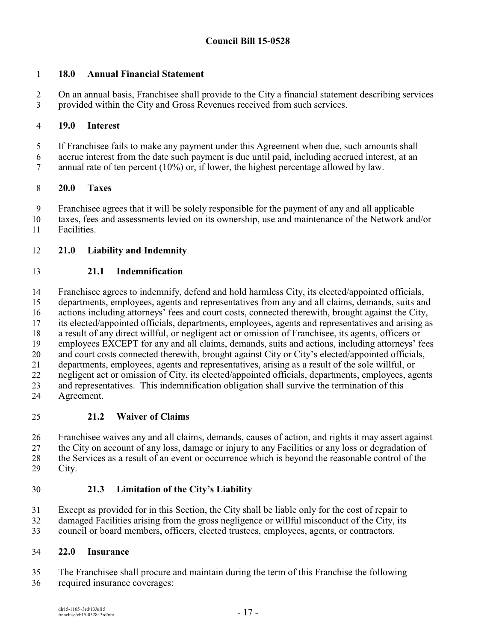## **18.0 Annual Financial Statement**

 On an annual basis, Franchisee shall provide to the City a financial statement describing services provided within the City and Gross Revenues received from such services.

#### **19.0 Interest**

 If Franchisee fails to make any payment under this Agreement when due, such amounts shall accrue interest from the date such payment is due until paid, including accrued interest, at an

annual rate of ten percent (10%) or, if lower, the highest percentage allowed by law.

#### **20.0 Taxes**

Franchisee agrees that it will be solely responsible for the payment of any and all applicable

 taxes, fees and assessments levied on its ownership, use and maintenance of the Network and/or Facilities.

#### **21.0 Liability and Indemnity**

#### **21.1 Indemnification**

 Franchisee agrees to indemnify, defend and hold harmless City, its elected/appointed officials, departments, employees, agents and representatives from any and all claims, demands, suits and actions including attorneys' fees and court costs, connected therewith, brought against the City, 17 its elected/appointed officials, departments, employees, agents and representatives and arising as<br>18 a result of any direct willful, or negligent act or omission of Franchisee, its agents, officers or a result of any direct willful, or negligent act or omission of Franchisee, its agents, officers or employees EXCEPT for any and all claims, demands, suits and actions, including attorneys' fees and court costs connected therewith, brought against City or City's elected/appointed officials, departments, employees, agents and representatives, arising as a result of the sole willful, or negligent act or omission of City, its elected/appointed officials, departments, employees, agents and representatives. This indemnification obligation shall survive the termination of this Agreement.

**21.2 Waiver of Claims**

 Franchisee waives any and all claims, demands, causes of action, and rights it may assert against the City on account of any loss, damage or injury to any Facilities or any loss or degradation of the Services as a result of an event or occurrence which is beyond the reasonable control of the City.

## **21.3 Limitation of the City's Liability**

 Except as provided for in this Section, the City shall be liable only for the cost of repair to damaged Facilities arising from the gross negligence or willful misconduct of the City, its

council or board members, officers, elected trustees, employees, agents, or contractors.

## **22.0 Insurance**

 The Franchisee shall procure and maintain during the term of this Franchise the following required insurance coverages: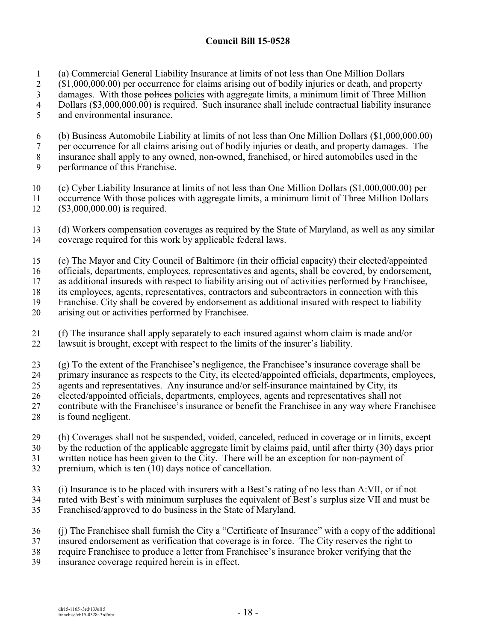(a) Commercial General Liability Insurance at limits of not less than One Million Dollars

(\$1,000,000.00) per occurrence for claims arising out of bodily injuries or death, and property

3 damages. With those polices policies with aggregate limits, a minimum limit of Three Million

Dollars (\$3,000,000.00) is required. Such insurance shall include contractual liability insurance

and environmental insurance.

(b) Business Automobile Liability at limits of not less than One Million Dollars (\$1,000,000.00)

7 per occurrence for all claims arising out of bodily injuries or death, and property damages. The insurance shall apply to any owned, non-owned, franchised, or hired automobiles used in the

insurance shall apply to any owned, non-owned, franchised, or hired automobiles used in the

performance of this Franchise.

(c) Cyber Liability Insurance at limits of not less than One Million Dollars (\$1,000,000.00) per

 occurrence With those polices with aggregate limits, a minimum limit of Three Million Dollars (\$3,000,000.00) is required.

- (d) Workers compensation coverages as required by the State of Maryland, as well as any similar coverage required for this work by applicable federal laws.
- (e) The Mayor and City Council of Baltimore (in their official capacity) their elected/appointed

officials, departments, employees, representatives and agents, shall be covered, by endorsement,

as additional insureds with respect to liability arising out of activities performed by Franchisee,

its employees, agents, representatives, contractors and subcontractors in connection with this

Franchise. City shall be covered by endorsement as additional insured with respect to liability

- arising out or activities performed by Franchisee.
- (f) The insurance shall apply separately to each insured against whom claim is made and/or
- lawsuit is brought, except with respect to the limits of the insurer's liability.

(g) To the extent of the Franchisee's negligence, the Franchisee's insurance coverage shall be

primary insurance as respects to the City, its elected/appointed officials, departments, employees,

agents and representatives. Any insurance and/or self-insurance maintained by City, its

- elected/appointed officials, departments, employees, agents and representatives shall not
- 27 contribute with the Franchisee's insurance or benefit the Franchisee in any way where Franchisee<br>28 is found negligent.
- is found negligent.
- (h) Coverages shall not be suspended, voided, canceled, reduced in coverage or in limits, except

by the reduction of the applicable aggregate limit by claims paid, until after thirty (30) days prior

written notice has been given to the City. There will be an exception for non-payment of

- premium, which is ten (10) days notice of cancellation.
- (i) Insurance is to be placed with insurers with a Best's rating of no less than A:VII, or if not
- 34 rated with Best's with minimum surpluses the equivalent of Best's surplus size VII and must be<br>35 Franchised/approved to do business in the State of Marvland.
- Franchised/approved to do business in the State of Maryland.
- (j) The Franchisee shall furnish the City a "Certificate of Insurance" with a copy of the additional
- insured endorsement as verification that coverage is in force. The City reserves the right to
- require Franchisee to produce a letter from Franchisee's insurance broker verifying that the
- insurance coverage required herein is in effect.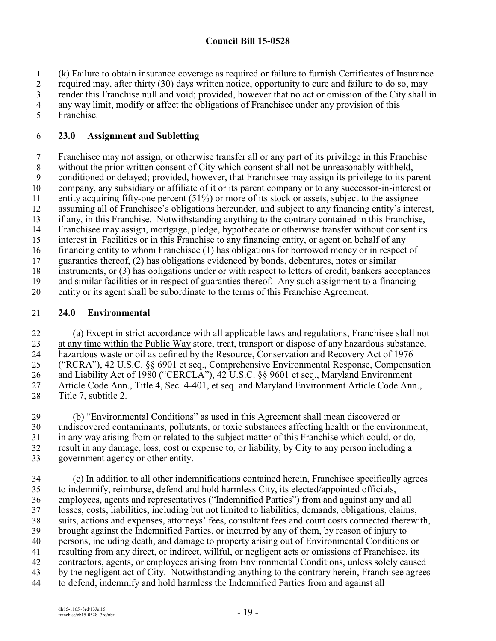(k) Failure to obtain insurance coverage as required or failure to furnish Certificates of Insurance

required may, after thirty (30) days written notice, opportunity to cure and failure to do so, may

render this Franchise null and void; provided, however that no act or omission of the City shall in

any way limit, modify or affect the obligations of Franchisee under any provision of this

Franchise.

## **23.0 Assignment and Subletting**

 Franchisee may not assign, or otherwise transfer all or any part of its privilege in this Franchise 8 without the prior written consent of City which consent shall not be unreasonably withheld, 9 conditioned or delayed; provided, however, that Franchisee may assign its privilege to its parent company, any subsidiary or affiliate of it or its parent company or to any successor-in-interest or entity acquiring fifty-one percent (51%) or more of its stock or assets, subject to the assignee assuming all of Franchisee's obligations hereunder, and subject to any financing entity's interest, if any, in this Franchise. Notwithstanding anything to the contrary contained in this Franchise, 14 Franchisee may assign, mortgage, pledge, hypothecate or otherwise transfer without consent its<br>15 interest in Facilities or in this Franchise to any financing entity, or agent on behalf of any interest in Facilities or in this Franchise to any financing entity, or agent on behalf of any financing entity to whom Franchisee (1) has obligations for borrowed money or in respect of guaranties thereof, (2) has obligations evidenced by bonds, debentures, notes or similar instruments, or (3) has obligations under or with respect to letters of credit, bankers acceptances and similar facilities or in respect of guaranties thereof. Any such assignment to a financing entity or its agent shall be subordinate to the terms of this Franchise Agreement.

## **24.0 Environmental**

 (a) Except in strict accordance with all applicable laws and regulations, Franchisee shall not at any time within the Public Way store, treat, transport or dispose of any hazardous substance, hazardous waste or oil as defined by the Resource, Conservation and Recovery Act of 1976 ("RCRA"), 42 U.S.C. §§ 6901 et seq., Comprehensive Environmental Response, Compensation and Liability Act of 1980 ("CERCLA"), 42 U.S.C. §§ 9601 et seq., Maryland Environment Article Code Ann., Title 4, Sec. 4-401, et seq. and Maryland Environment Article Code Ann., Title 7, subtitle 2.

29 (b) "Environmental Conditions" as used in this Agreement shall mean discovered or<br>30 undiscovered contaminants, pollutants, or toxic substances affecting health or the environ undiscovered contaminants, pollutants, or toxic substances affecting health or the environment, in any way arising from or related to the subject matter of this Franchise which could, or do, result in any damage, loss, cost or expense to, or liability, by City to any person including a government agency or other entity.

 (c) In addition to all other indemnifications contained herein, Franchisee specifically agrees to indemnify, reimburse, defend and hold harmless City, its elected/appointed officials, employees, agents and representatives ("Indemnified Parties") from and against any and all losses, costs, liabilities, including but not limited to liabilities, demands, obligations, claims, suits, actions and expenses, attorneys' fees, consultant fees and court costs connected therewith, brought against the Indemnified Parties, or incurred by any of them, by reason of injury to persons, including death, and damage to property arising out of Environmental Conditions or resulting from any direct, or indirect, willful, or negligent acts or omissions of Franchisee, its contractors, agents, or employees arising from Environmental Conditions, unless solely caused by the negligent act of City. Notwithstanding anything to the contrary herein, Franchisee agrees to defend, indemnify and hold harmless the Indemnified Parties from and against all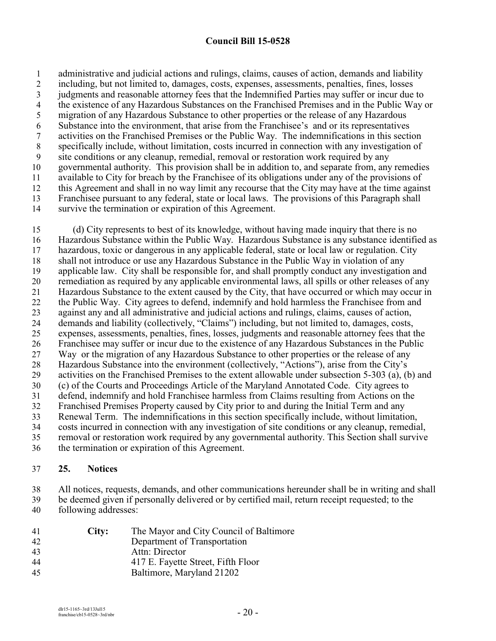administrative and judicial actions and rulings, claims, causes of action, demands and liability including, but not limited to, damages, costs, expenses, assessments, penalties, fines, losses judgments and reasonable attorney fees that the Indemnified Parties may suffer or incur due to the existence of any Hazardous Substances on the Franchised Premises and in the Public Way or 5 migration of any Hazardous Substance to other properties or the release of any Hazardous<br>6 Substance into the environment, that arise from the Franchisee's and or its representatives Substance into the environment, that arise from the Franchisee's and or its representatives activities on the Franchised Premises or the Public Way. The indemnifications in this section 8 specifically include, without limitation, costs incurred in connection with any investigation of site conditions or any cleanup, remedial, removal or restoration work required by any site conditions or any cleanup, remedial, removal or restoration work required by any governmental authority. This provision shall be in addition to, and separate from, any remedies available to City for breach by the Franchisee of its obligations under any of the provisions of this Agreement and shall in no way limit any recourse that the City may have at the time against Franchisee pursuant to any federal, state or local laws. The provisions of this Paragraph shall survive the termination or expiration of this Agreement.

15 (d) City represents to best of its knowledge, without having made inquiry that there is no<br>16 Hazardous Substance within the Public Way. Hazardous Substance is any substance identifies Hazardous Substance within the Public Way. Hazardous Substance is any substance identified as hazardous, toxic or dangerous in any applicable federal, state or local law or regulation. City shall not introduce or use any Hazardous Substance in the Public Way in violation of any applicable law. City shall be responsible for, and shall promptly conduct any investigation and remediation as required by any applicable environmental laws, all spills or other releases of any Hazardous Substance to the extent caused by the City, that have occurred or which may occur in the Public Way. City agrees to defend, indemnify and hold harmless the Franchisee from and against any and all administrative and judicial actions and rulings, claims, causes of action, 24 demands and liability (collectively, "Claims") including, but not limited to, damages, costs, expenses, assessments, penalties, fines, losses, judgments and reasonable attorney fees that t expenses, assessments, penalties, fines, losses, judgments and reasonable attorney fees that the Franchisee may suffer or incur due to the existence of any Hazardous Substances in the Public Way or the migration of any Hazardous Substance to other properties or the release of any Hazardous Substance into the environment (collectively, "Actions"), arise from the City's activities on the Franchised Premises to the extent allowable under subsection 5-303 (a), (b) and (c) of the Courts and Proceedings Article of the Maryland Annotated Code. City agrees to defend, indemnify and hold Franchisee harmless from Claims resulting from Actions on the Franchised Premises Property caused by City prior to and during the Initial Term and any 33 Renewal Term. The indemnifications in this section specifically include, without limitation, costs incurred in connection with any investigation of site conditions or any cleanup, remedia costs incurred in connection with any investigation of site conditions or any cleanup, remedial, removal or restoration work required by any governmental authority. This Section shall survive the termination or expiration of this Agreement.

#### **25. Notices**

38 All notices, requests, demands, and other communications hereunder shall be in writing and shall<br>39 be deemed given if personally delivered or by certified mail, return receipt requested: to the

 be deemed given if personally delivered or by certified mail, return receipt requested; to the following addresses:

| 41 | City: | The Mayor and City Council of Baltimore |
|----|-------|-----------------------------------------|
| 42 |       | Department of Transportation            |
| 43 |       | Attn: Director                          |
| 44 |       | 417 E. Fayette Street, Fifth Floor      |
| 45 |       | Baltimore, Maryland 21202               |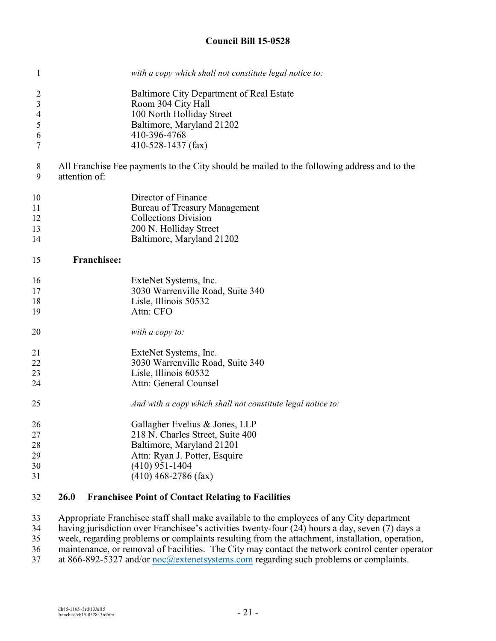| $\mathbf{1}$                                                      |               | with a copy which shall not constitute legal notice to:                                                                                                                        |
|-------------------------------------------------------------------|---------------|--------------------------------------------------------------------------------------------------------------------------------------------------------------------------------|
| $\overline{c}$<br>$\mathfrak{Z}$<br>$\overline{4}$<br>5<br>6<br>7 |               | <b>Baltimore City Department of Real Estate</b><br>Room 304 City Hall<br>100 North Holliday Street<br>Baltimore, Maryland 21202<br>410-396-4768<br>410-528-1437 (fax)          |
| 8<br>9                                                            | attention of: | All Franchise Fee payments to the City should be mailed to the following address and to the                                                                                    |
| 10<br>11<br>12<br>13<br>14                                        |               | Director of Finance<br><b>Bureau of Treasury Management</b><br><b>Collections Division</b><br>200 N. Holliday Street<br>Baltimore, Maryland 21202                              |
| 15                                                                |               | Franchisee:                                                                                                                                                                    |
| 16<br>17<br>18<br>19                                              |               | ExteNet Systems, Inc.<br>3030 Warrenville Road, Suite 340<br>Lisle, Illinois 50532<br>Attn: CFO                                                                                |
| 20                                                                |               | with a copy to:                                                                                                                                                                |
| 21<br>22<br>23<br>24                                              |               | ExteNet Systems, Inc.<br>3030 Warrenville Road, Suite 340<br>Lisle, Illinois 60532<br>Attn: General Counsel                                                                    |
| 25                                                                |               | And with a copy which shall not constitute legal notice to:                                                                                                                    |
| 26<br>27<br>28<br>29<br>30<br>31                                  |               | Gallagher Evelius & Jones, LLP<br>218 N. Charles Street, Suite 400<br>Baltimore, Maryland 21201<br>Attn: Ryan J. Potter, Esquire<br>$(410)$ 951-1404<br>$(410)$ 468-2786 (fax) |
| 32                                                                | 26.0          | <b>Franchisee Point of Contact Relating to Facilities</b>                                                                                                                      |
| 33                                                                |               | Appropriate Franchisee staff shall make available to the employees of any City department                                                                                      |

 having jurisdiction over Franchisee's activities twenty-four (24) hours a day, seven (7) days a week, regarding problems or complaints resulting from the attachment, installation, operation,

36 maintenance, or removal of Facilities. The City may contact the network control center operator<br>37 at 866-892-5327 and/or noc@extenetsystems.com regarding such problems or complaints.

at 866-892-5327 and/or [noc@extenetsystems.com](mailto:noc@extenetsystems.com) regarding such problems or complaints.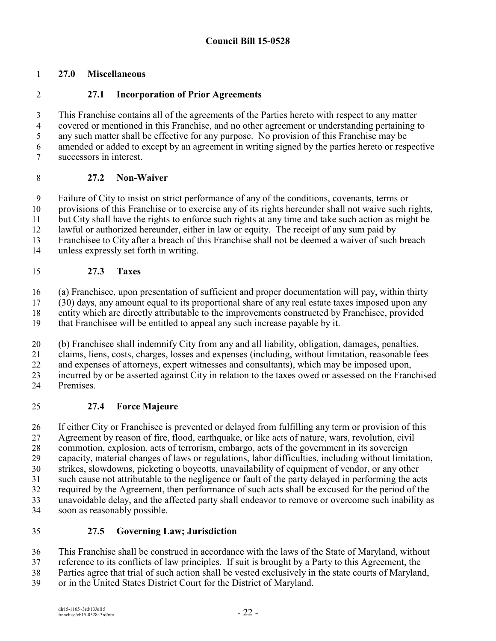## **27.0 Miscellaneous**

## **27.1 Incorporation of Prior Agreements**

 This Franchise contains all of the agreements of the Parties hereto with respect to any matter covered or mentioned in this Franchise, and no other agreement or understanding pertaining to any such matter shall be effective for any purpose. No provision of this Franchise may be amended or added to except by an agreement in writing signed by the parties hereto or respective successors in interest.

**27.2 Non-Waiver**

 Failure of City to insist on strict performance of any of the conditions, covenants, terms or provisions of this Franchise or to exercise any of its rights hereunder shall not waive such rights,

but City shall have the rights to enforce such rights at any time and take such action as might be

lawful or authorized hereunder, either in law or equity. The receipt of any sum paid by

- Franchisee to City after a breach of this Franchise shall not be deemed a waiver of such breach
- unless expressly set forth in writing.

# **27.3 Taxes**

16 (a) Franchisee, upon presentation of sufficient and proper documentation will pay, within thirty<br>17 (30) days, any amount equal to its proportional share of any real estate taxes imposed upon any 17 (30) days, any amount equal to its proportional share of any real estate taxes imposed upon any entity which are directly attributable to the improvements constructed by Franchise provided

entity which are directly attributable to the improvements constructed by Franchisee, provided

that Franchisee will be entitled to appeal any such increase payable by it.

(b) Franchisee shall indemnify City from any and all liability, obligation, damages, penalties,

claims, liens, costs, charges, losses and expenses (including, without limitation, reasonable fees

and expenses of attorneys, expert witnesses and consultants), which may be imposed upon,

incurred by or be asserted against City in relation to the taxes owed or assessed on the Franchised

Premises.

# **27.4 Force Majeure**

 If either City or Franchisee is prevented or delayed from fulfilling any term or provision of this Agreement by reason of fire, flood, earthquake, or like acts of nature, wars, revolution, civil commotion, explosion, acts of terrorism, embargo, acts of the government in its sovereign capacity, material changes of laws or regulations, labor difficulties, including without limitation, strikes, slowdowns, picketing o boycotts, unavailability of equipment of vendor, or any other such cause not attributable to the negligence or fault of the party delayed in performing the acts required by the Agreement, then performance of such acts shall be excused for the period of the unavoidable delay, and the affected party shall endeavor to remove or overcome such inability as soon as reasonably possible.

# **27.5 Governing Law; Jurisdiction**

 This Franchise shall be construed in accordance with the laws of the State of Maryland, without reference to its conflicts of law principles. If suit is brought by a Party to this Agreement, the Parties agree that trial of such action shall be vested exclusively in the state courts of Maryland, or in the United States District Court for the District of Maryland.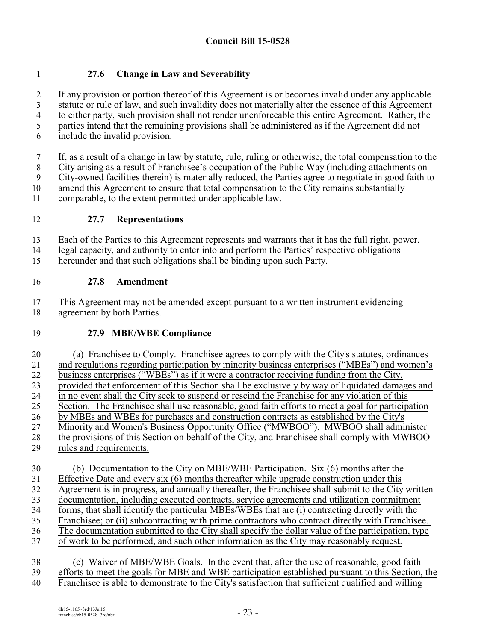## **27.6 Change in Law and Severability**

 If any provision or portion thereof of this Agreement is or becomes invalid under any applicable statute or rule of law, and such invalidity does not materially alter the essence of this Agreement 4 to either party, such provision shall not render unenforceable this entire Agreement. Rather, the parties intend that the remaining provisions shall be administered as if the Agreement did not parties intend that the remaining provisions shall be administered as if the Agreement did not include the invalid provision.

7 If, as a result of a change in law by statute, rule, ruling or otherwise, the total compensation to the<br>8 City arising as a result of Franchisee's occupation of the Public Way (including attachments on City arising as a result of Franchisee's occupation of the Public Way (including attachments on City-owned facilities therein) is materially reduced, the Parties agree to negotiate in good faith to amend this Agreement to ensure that total compensation to the City remains substantially comparable, to the extent permitted under applicable law.

#### **27.7 Representations**

13 Each of the Parties to this Agreement represents and warrants that it has the full right, power,<br>14 legal canacity, and authority to enter into and perform the Parties' respective obligations

legal capacity, and authority to enter into and perform the Parties' respective obligations

hereunder and that such obligations shall be binding upon such Party.

### **27.8 Amendment**

 This Agreement may not be amended except pursuant to a written instrument evidencing agreement by both Parties.

## **27.9 MBE/WBE Compliance**

 (a) Franchisee to Comply. Franchisee agrees to comply with the City's statutes, ordinances and regulations regarding participation by minority business enterprises ("MBEs") and women's business enterprises ("WBEs") as if it were a contractor receiving funding from the City, provided that enforcement of this Section shall be exclusively by way of liquidated damages and in no event shall the City seek to suspend or rescind the Franchise for any violation of this Section. The Franchisee shall use reasonable, good faith efforts to meet a goal for participation <sup>26</sup> by MBEs and WBEs for purchases and construction contracts as established by the City's<br><sup>27</sup> Minority and Women's Business Opportunity Office ("MWBOO"). MWBOO shall admi Minority and Women's Business Opportunity Office ("MWBOO"). MWBOO shall administer 28 the provisions of this Section on behalf of the City, and Franchisee shall comply with MWBOO rules and requirements.

 (b) Documentation to the City on MBE/WBE Participation. Six (6) months after the Effective Date and every six (6) months thereafter while upgrade construction under this

32 Agreement is in progress, and annually thereafter, the Franchisee shall submit to the City written<br>33 documentation, including executed contracts, service agreements and utilization commitment 33 documentation, including executed contracts, service agreements and utilization commitment<br>34 forms, that shall identify the particular MBEs/WBEs that are (i) contracting directly with the

forms, that shall identify the particular MBEs/WBEs that are (i) contracting directly with the

 Franchisee; or (ii) subcontracting with prime contractors who contract directly with Franchisee. The documentation submitted to the City shall specify the dollar value of the participation, type

of work to be performed, and such other information as the City may reasonably request.

 (c) Waiver of MBE/WBE Goals. In the event that, after the use of reasonable, good faith efforts to meet the goals for MBE and WBE participation established pursuant to this Section, the Franchisee is able to demonstrate to the City's satisfaction that sufficient qualified and willing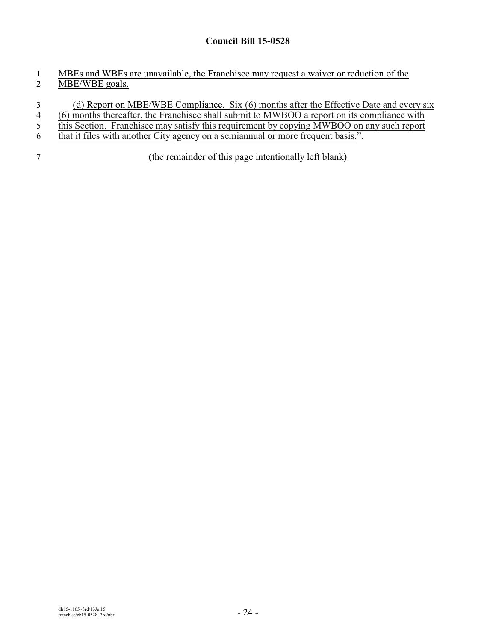- 1 MBEs and WBEs are unavailable, the Franchisee may request a waiver or reduction of the 2 MBE/WBE goals.
- 3 (d) Report on MBE/WBE Compliance. Six (6) months after the Effective Date and every six (6) months thereafter, the Franchisee shall submit to MWBOO a report on its compliance with
- 4 (6) months thereafter, the Franchisee shall submit to MWBOO a report on its compliance with this Section. Franchisee may satisfy this requirement by copying MWBOO on any such report
- 5 this Section. Franchisee may satisfy this requirement by copying MWBOO on any such report that it files with another City agency on a semiannual or more frequent basis.".
- that it files with another City agency on a semiannual or more frequent basis.".
- 

7 (the remainder of this page intentionally left blank)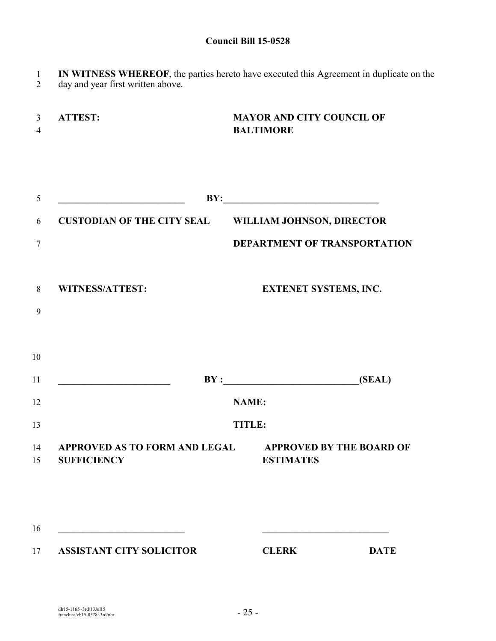**IN WITNESS WHEREOF**, the parties hereto have executed this Agreement in duplicate on the day and year first written above.

| <b>ATTEST:</b>                                                               |                                                                                                    | <b>MAYOR AND CITY COUNCIL OF</b><br><b>BALTIMORE</b> |        |
|------------------------------------------------------------------------------|----------------------------------------------------------------------------------------------------|------------------------------------------------------|--------|
|                                                                              |                                                                                                    | BY:                                                  |        |
|                                                                              | <b>CUSTODIAN OF THE CITY SEAL WILLIAM JOHNSON, DIRECTOR</b><br><b>DEPARTMENT OF TRANSPORTATION</b> |                                                      |        |
| WITNESS/ATTEST:                                                              | <b>EXTENET SYSTEMS, INC.</b>                                                                       |                                                      |        |
| <u> 1980 - Jan James James Barnett, martin eta idazlea (</u>                 |                                                                                                    | BY:                                                  | (SEAL) |
|                                                                              | <b>NAME:</b>                                                                                       |                                                      |        |
|                                                                              | <b>TITLE:</b>                                                                                      |                                                      |        |
| APPROVED AS TO FORM AND LEGAL APPROVED BY THE BOARD OF<br><b>SUFFICIENCY</b> |                                                                                                    | <b>ESTIMATES</b>                                     |        |
|                                                                              |                                                                                                    |                                                      |        |
|                                                                              |                                                                                                    |                                                      |        |